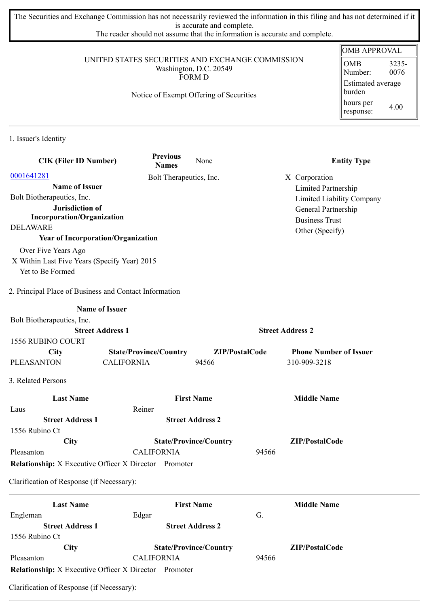The Securities and Exchange Commission has not necessarily reviewed the information in this filing and has not determined if it is accurate and complete.

The reader should not assume that the information is accurate and complete.

## UNITED STATES SECURITIES AND EXCHANGE COMMISSION Washington, D.C. 20549 FORM D

Notice of Exempt Offering of Securities

| OMB APPROVAL                       |               |  |  |  |
|------------------------------------|---------------|--|--|--|
| OMB<br>Number:                     | 3235-<br>0076 |  |  |  |
| <b>Estimated average</b><br>burden |               |  |  |  |
| hours per<br>response:             | 4 00          |  |  |  |

1. Issuer's Identity

| <b>CIK (Filer ID Number)</b>                           | <b>Previous</b><br><b>Names</b> | None                          |                         | <b>Entity Type</b>            |
|--------------------------------------------------------|---------------------------------|-------------------------------|-------------------------|-------------------------------|
| 0001641281                                             | Bolt Therapeutics, Inc.         |                               |                         | X Corporation                 |
| <b>Name of Issuer</b>                                  |                                 |                               |                         | Limited Partnership           |
| Bolt Biotherapeutics, Inc.                             |                                 |                               |                         | Limited Liability Company     |
| Jurisdiction of                                        |                                 |                               |                         | General Partnership           |
| <b>Incorporation/Organization</b>                      |                                 |                               |                         | <b>Business Trust</b>         |
| <b>DELAWARE</b>                                        |                                 |                               |                         | Other (Specify)               |
| <b>Year of Incorporation/Organization</b>              |                                 |                               |                         |                               |
| Over Five Years Ago                                    |                                 |                               |                         |                               |
| X Within Last Five Years (Specify Year) 2015           |                                 |                               |                         |                               |
| Yet to Be Formed                                       |                                 |                               |                         |                               |
| 2. Principal Place of Business and Contact Information |                                 |                               |                         |                               |
| <b>Name of Issuer</b>                                  |                                 |                               |                         |                               |
| Bolt Biotherapeutics, Inc.                             |                                 |                               |                         |                               |
| <b>Street Address 1</b>                                |                                 |                               | <b>Street Address 2</b> |                               |
| <b>1556 RUBINO COURT</b>                               |                                 |                               |                         |                               |
| <b>City</b>                                            | <b>State/Province/Country</b>   | ZIP/PostalCode                |                         | <b>Phone Number of Issuer</b> |
| <b>PLEASANTON</b>                                      | <b>CALIFORNIA</b>               | 94566                         |                         | 310-909-3218                  |
| 3. Related Persons                                     |                                 |                               |                         |                               |
| <b>Last Name</b>                                       |                                 | <b>First Name</b>             |                         | <b>Middle Name</b>            |
| Laus                                                   | Reiner                          |                               |                         |                               |
| <b>Street Address 1</b>                                |                                 | <b>Street Address 2</b>       |                         |                               |
| 1556 Rubino Ct                                         |                                 |                               |                         |                               |
| <b>City</b>                                            |                                 | <b>State/Province/Country</b> |                         | ZIP/PostalCode                |
| Pleasanton                                             | <b>CALIFORNIA</b>               |                               | 94566                   |                               |
| Relationship: X Executive Officer X Director Promoter  |                                 |                               |                         |                               |
| Clarification of Response (if Necessary):              |                                 |                               |                         |                               |
| <b>Last Name</b>                                       |                                 | <b>First Name</b>             |                         | <b>Middle Name</b>            |
| Engleman                                               | Edgar                           |                               | G.                      |                               |
| <b>Street Address 1</b>                                |                                 | <b>Street Address 2</b>       |                         |                               |
| 1556 Rubino Ct                                         |                                 |                               |                         |                               |
| City                                                   |                                 | <b>State/Province/Country</b> |                         | ZIP/PostalCode                |
| Pleasanton                                             | <b>CALIFORNIA</b>               |                               | 94566                   |                               |
| Relationship: X Executive Officer X Director Promoter  |                                 |                               |                         |                               |

Clarification of Response (if Necessary):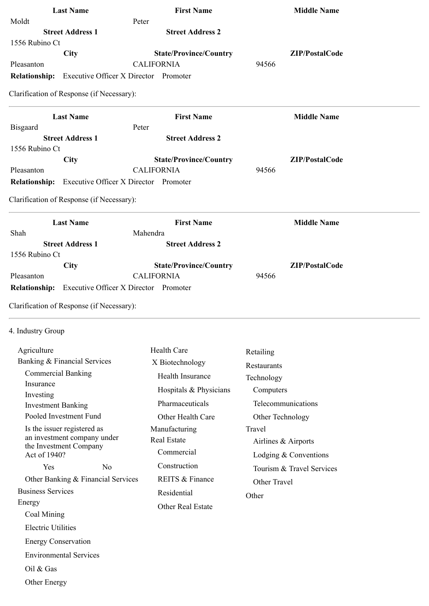|                      | <b>Last Name</b>                                           |                   | <b>First Name</b>             |       | <b>Middle Name</b> |
|----------------------|------------------------------------------------------------|-------------------|-------------------------------|-------|--------------------|
| Moldt                |                                                            | Peter             |                               |       |                    |
|                      | <b>Street Address 1</b>                                    |                   | <b>Street Address 2</b>       |       |                    |
| 1556 Rubino Ct       |                                                            |                   |                               |       |                    |
|                      | <b>City</b>                                                |                   | <b>State/Province/Country</b> |       | ZIP/PostalCode     |
| Pleasanton           |                                                            | <b>CALIFORNIA</b> |                               | 94566 |                    |
|                      | <b>Relationship:</b> Executive Officer X Director Promoter |                   |                               |       |                    |
|                      | Clarification of Response (if Necessary):                  |                   |                               |       |                    |
|                      | <b>Last Name</b>                                           |                   | <b>First Name</b>             |       | <b>Middle Name</b> |
| <b>Bisgaard</b>      |                                                            | Peter             |                               |       |                    |
|                      | <b>Street Address 1</b>                                    |                   | <b>Street Address 2</b>       |       |                    |
| 1556 Rubino Ct       |                                                            |                   |                               |       |                    |
|                      | <b>City</b>                                                |                   | <b>State/Province/Country</b> |       | ZIP/PostalCode     |
| Pleasanton           |                                                            | <b>CALIFORNIA</b> |                               | 94566 |                    |
|                      | <b>Relationship:</b> Executive Officer X Director Promoter |                   |                               |       |                    |
|                      | Clarification of Response (if Necessary):                  |                   |                               |       |                    |
|                      | <b>Last Name</b>                                           |                   | <b>First Name</b>             |       | <b>Middle Name</b> |
| Shah                 |                                                            | Mahendra          |                               |       |                    |
|                      | <b>Street Address 1</b>                                    |                   | <b>Street Address 2</b>       |       |                    |
| 1556 Rubino Ct       |                                                            |                   |                               |       |                    |
|                      | <b>City</b>                                                |                   | <b>State/Province/Country</b> |       | ZIP/PostalCode     |
| Pleasanton           |                                                            | <b>CALIFORNIA</b> |                               | 94566 |                    |
| <b>Relationship:</b> | Executive Officer X Director Promoter                      |                   |                               |       |                    |
|                      | Clarification of Response (if Necessary):                  |                   |                               |       |                    |

4. Industry Group

| Agriculture                                           | <b>Health Care</b>     | Retailing                 |
|-------------------------------------------------------|------------------------|---------------------------|
| Banking & Financial Services                          | X Biotechnology        | Restaurants               |
| <b>Commercial Banking</b>                             | Health Insurance       | Technology                |
| Insurance                                             | Hospitals & Physicians | Computers                 |
| Investing<br><b>Investment Banking</b>                | Pharmaceuticals        | Telecommunications        |
| Pooled Investment Fund                                | Other Health Care      | Other Technology          |
| Is the issuer registered as                           | Manufacturing          | Travel                    |
| an investment company under<br>the Investment Company | Real Estate            | Airlines & Airports       |
| Act of 1940?                                          | Commercial             | Lodging $&$ Conventions   |
| Yes<br>No.                                            | Construction           | Tourism & Travel Services |
| Other Banking & Financial Services                    | REITS & Finance        | Other Travel              |
| <b>Business Services</b>                              | Residential            | Other                     |
| Energy                                                | Other Real Estate      |                           |
| Coal Mining                                           |                        |                           |
| <b>Electric Utilities</b>                             |                        |                           |
| <b>Energy Conservation</b>                            |                        |                           |
| <b>Environmental Services</b>                         |                        |                           |

Oil & Gas

Other Energy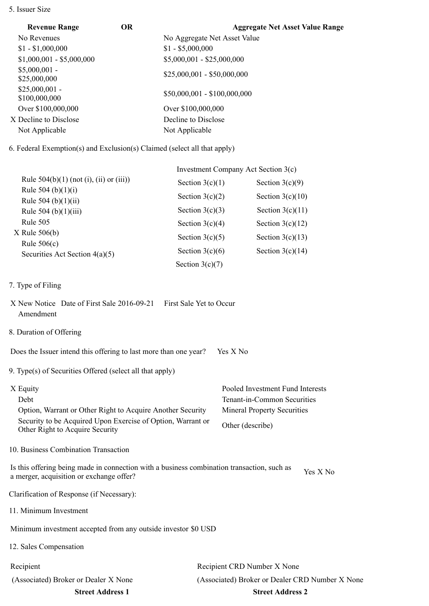## 5. Issuer Size

| <b>Revenue Range</b>             | <b>OR</b> | <b>Aggregate Net Asset Value Range</b> |
|----------------------------------|-----------|----------------------------------------|
| No Revenues                      |           | No Aggregate Net Asset Value           |
| $$1 - $1,000,000$                |           | $$1 - $5,000,000$                      |
| $$1,000,001 - $5,000,000$        |           | $$5,000,001 - $25,000,000$             |
| $$5,000,001$ -<br>\$25,000,000   |           | $$25,000,001 - $50,000,000$            |
| $$25,000,001$ -<br>\$100,000,000 |           | $$50,000,001 - $100,000,000$           |
| Over \$100,000,000               |           | Over \$100,000,000                     |
| X Decline to Disclose            |           | Decline to Disclose                    |
| Not Applicable                   |           | Not Applicable                         |

6. Federal Exemption(s) and Exclusion(s) Claimed (select all that apply)

|                                                 | Investment Company Act Section 3(c) |                    |
|-------------------------------------------------|-------------------------------------|--------------------|
| Rule $504(b)(1)$ (not (i), (ii) or (iii))       | Section $3(c)(1)$                   | Section $3(c)(9)$  |
| Rule 504 (b) $(1)(i)$<br>Rule 504 (b) $(1)(ii)$ | Section $3(c)(2)$                   | Section $3(c)(10)$ |
| Rule $504$ (b) $(1)(iii)$                       | Section $3(c)(3)$                   | Section $3(c)(11)$ |
| Rule 505                                        | Section $3(c)(4)$                   | Section $3(c)(12)$ |
| $X$ Rule 506(b)<br>Rule $506(c)$                | Section $3(c)(5)$                   | Section $3(c)(13)$ |
| Securities Act Section $4(a)(5)$                | Section $3(c)(6)$                   | Section $3(c)(14)$ |
|                                                 | Section $3(c)(7)$                   |                    |

- 7. Type of Filing
- X New Notice Date of First Sale 2016-09-21 First Sale Yet to Occur Amendment
- 8. Duration of Offering

| Does the Issuer intend this offering to last more than one year? | Yes X No |  |
|------------------------------------------------------------------|----------|--|
| 9. Type(s) of Securities Offered (select all that apply)         |          |  |

| X Equity                                                                                       | Pooled Investment Fund Interests   |
|------------------------------------------------------------------------------------------------|------------------------------------|
| Debt.                                                                                          | Tenant-in-Common Securities        |
| Option, Warrant or Other Right to Acquire Another Security                                     | <b>Mineral Property Securities</b> |
| Security to be Acquired Upon Exercise of Option, Warrant or<br>Other Right to Acquire Security | Other (describe)                   |

10. Business Combination Transaction

Is this offering being made in connection with a business combination transaction, such as is this offering being made in connection with a business combination transaction, such as  $Y_{\text{es}} X \text{ No}$  a merger, acquisition or exchange offer?

Clarification of Response (if Necessary):

11. Minimum Investment

Minimum investment accepted from any outside investor \$0 USD

12. Sales Compensation

Recipient CRD Number X None (Associated) Broker or Dealer X None (Associated) Broker or Dealer CRD Number X None **Street Address 1 Street Address 2**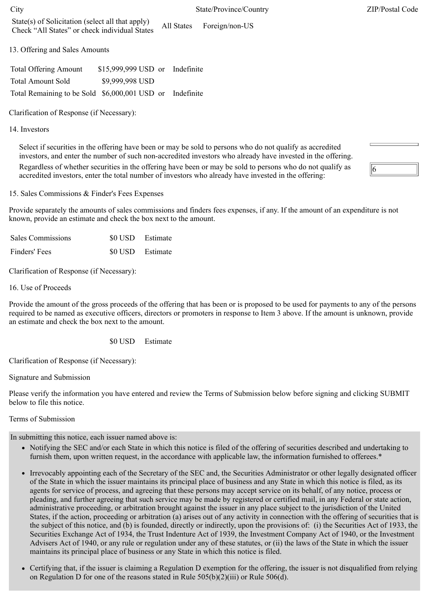City State/Province/Country ZIP/Postal Code

State(s) of Solicitation (select all that apply) State(s) of Bonenation (select an that apply) All States Foreign/non-US<br>Check "All States" or check individual States

6

13. Offering and Sales Amounts

| <b>Total Offering Amount</b>                             | $$15,999,999$ USD or Indefinite |  |
|----------------------------------------------------------|---------------------------------|--|
| <b>Total Amount Sold</b>                                 | \$9,999,998 USD                 |  |
| Total Remaining to be Sold \$6,000,001 USD or Indefinite |                                 |  |

Clarification of Response (if Necessary):

14. Investors

Select if securities in the offering have been or may be sold to persons who do not qualify as accredited investors, and enter the number of such non-accredited investors who already have invested in the offering. Regardless of whether securities in the offering have been or may be sold to persons who do not qualify as accredited investors, enter the total number of investors who already have invested in the offering:

15. Sales Commissions & Finder's Fees Expenses

Provide separately the amounts of sales commissions and finders fees expenses, if any. If the amount of an expenditure is not known, provide an estimate and check the box next to the amount.

| Sales Commissions | \$0 USD Estimate |
|-------------------|------------------|
| Finders' Fees     | \$0 USD Estimate |

Clarification of Response (if Necessary):

16. Use of Proceeds

Provide the amount of the gross proceeds of the offering that has been or is proposed to be used for payments to any of the persons required to be named as executive officers, directors or promoters in response to Item 3 above. If the amount is unknown, provide an estimate and check the box next to the amount.

\$0 USD Estimate

Clarification of Response (if Necessary):

Signature and Submission

Please verify the information you have entered and review the Terms of Submission below before signing and clicking SUBMIT below to file this notice.

Terms of Submission

In submitting this notice, each issuer named above is:

- Notifying the SEC and/or each State in which this notice is filed of the offering of securities described and undertaking to furnish them, upon written request, in the accordance with applicable law, the information furnished to offerees.\*
- Irrevocably appointing each of the Secretary of the SEC and, the Securities Administrator or other legally designated officer of the State in which the issuer maintains its principal place of business and any State in which this notice is filed, as its agents for service of process, and agreeing that these persons may accept service on its behalf, of any notice, process or pleading, and further agreeing that such service may be made by registered or certified mail, in any Federal or state action, administrative proceeding, or arbitration brought against the issuer in any place subject to the jurisdiction of the United States, if the action, proceeding or arbitration (a) arises out of any activity in connection with the offering of securities that is the subject of this notice, and (b) is founded, directly or indirectly, upon the provisions of: (i) the Securities Act of 1933, the Securities Exchange Act of 1934, the Trust Indenture Act of 1939, the Investment Company Act of 1940, or the Investment Advisers Act of 1940, or any rule or regulation under any of these statutes, or (ii) the laws of the State in which the issuer maintains its principal place of business or any State in which this notice is filed.
- Certifying that, if the issuer is claiming a Regulation D exemption for the offering, the issuer is not disqualified from relying on Regulation D for one of the reasons stated in Rule  $505(b)(2)(iii)$  or Rule  $506(d)$ .